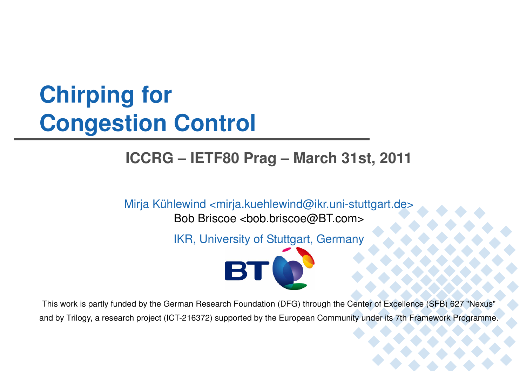# **Chirping forCongestion Control**

## **ICCRG – IETF80 Prag – March 31st, 2011**

Mirja Kühlewind <mirja.kuehlewind@ikr.uni-stuttgart.de>

Bob Briscoe <bob.briscoe@BT.com>

IKR, University of Stuttgart, Germany



This work is partly funded by the German Research Foundation (DFG) through the Center of Excellence (SFB) 627 "Nexus" and by Trilogy, a research project (ICT-216372) supported by the European Community under its 7th Framework Programme.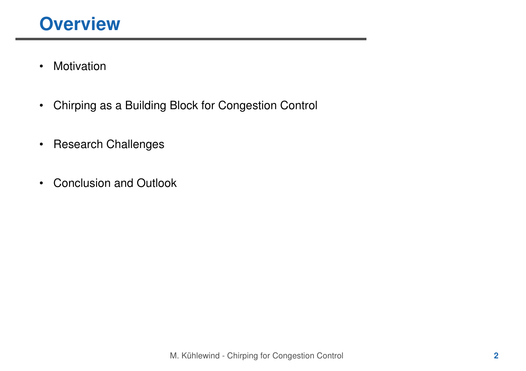- •Motivation
- •Chirping as a Building Block for Congestion Control
- •Research Challenges
- $\bullet$ Conclusion and Outlook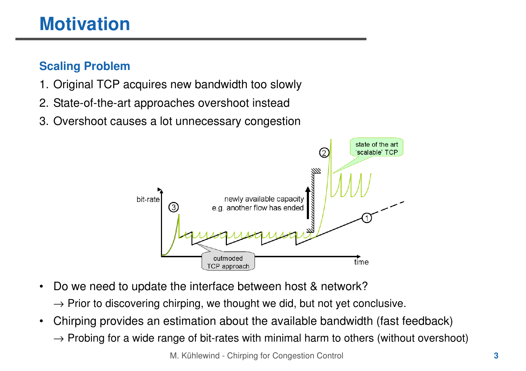# **Motivation**

### **Scaling Problem**

- 1. Original TCP acquires new bandwidth too slowly
- 2. State-of-the-art approaches overshoot instead
- 3. Overshoot causes a lot unnecessary congestion



- • Do we need to update the interface between host & network?
	- $\rightarrow$  Prior to discovering chirping, we thought we did, but not yet conclusive.<br>Cultural
- • Chirping provides an estimation about the available bandwidth (fast feedback)
	- $\rightarrow$  Probing for a wide range of bit-rates with minimal harm to others (without overshoot)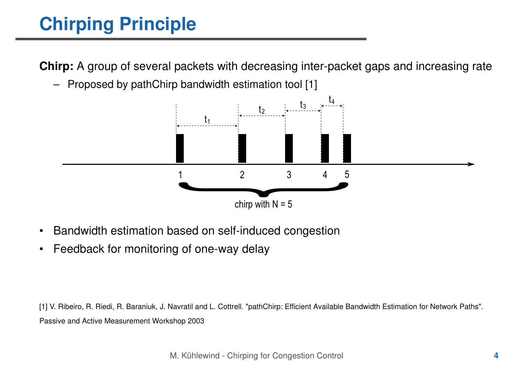# **Chirping Principle**

**Chirp:** A group of several packets with decreasing inter-packet gaps and increasing rate

–Proposed by pathChirp bandwidth estimation tool [1]



- •Bandwidth estimation based on self-induced congestion
- •Feedback for monitoring of one-way delay

[1] V. Ribeiro, R. Riedi, R. Baraniuk, J. Navratil and L. Cottrell. "pathChirp: Efficient Available Bandwidth Estimation for Network Paths". Passive and Active Measurement Workshop 2003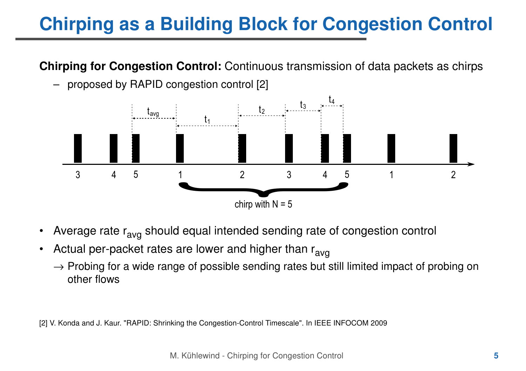# **Chirping as a Building Block for Congestion Control**

#### **Chirping for Congestion Control:** Continuous transmission of data packets as chirps



–proposed by RAPID congestion control [2]

- •Average rate r<sub>avg</sub> should equal intended sending rate of congestion control
- •Actual per-packet rates are lower and higher than r<sub>avg</sub>
	- $\rightarrow$  Probing for a wide range of possible sending rates but still limited impact of probing on other flows other flows

[2] V. Konda and J. Kaur. "RAPID: Shrinking the Congestion-Control Timescale". In IEEE INFOCOM 2009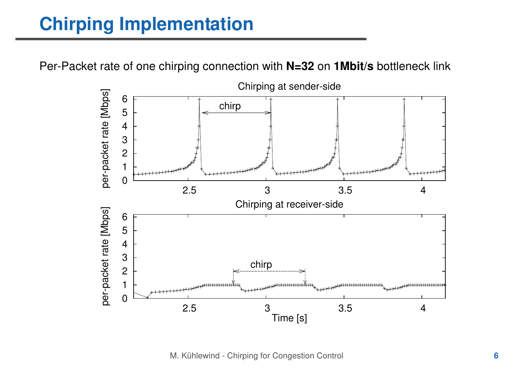# **Chirping Implementation**

Per-Packet rate of one chirping connection with **N=32** on **1Mbit/s** bottleneck link

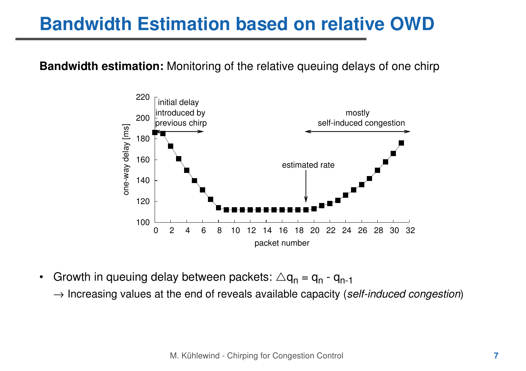## **Bandwidth Estimation based on relative OWD**

**Bandwidth estimation:** Monitoring of the relative queuing delays of one chirp



- •Growth in queuing delay between packets:  $\triangle q_n = q_n - q_{n-1}$ 
	- $\rightarrow$  Increasing values at the end of reveals available capacity (self-induced congestion)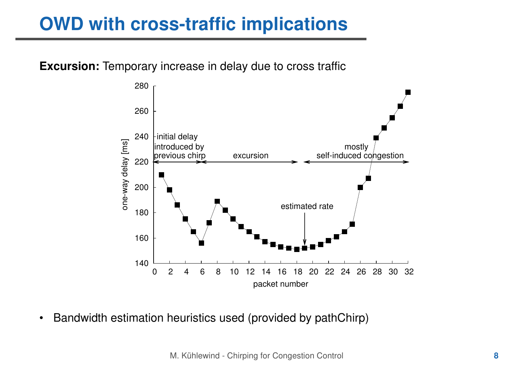# **OWD with cross-traffic implications**

#### **Excursion:** Temporary increase in delay due to cross traffic



•Bandwidth estimation heuristics used (provided by pathChirp)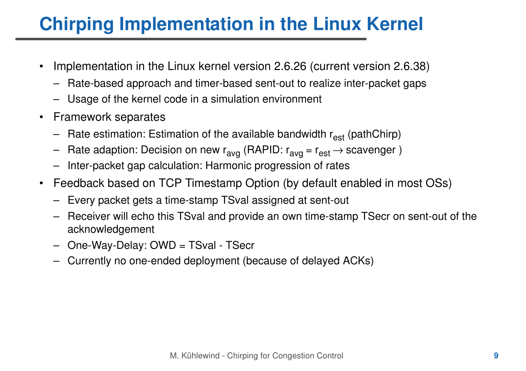- • Implementation in the Linux kernel version 2.6.26 (current version 2.6.38)
	- –Rate-based approach and timer-based sent-out to realize inter-packet gaps
	- Usage of the kernel code in a simulation environment
- $\bullet$  Framework separates
	- Rate estimation: Estimation of the available bandwidth r<sub>est</sub> (pathChirp)
	- –Rate adaption: Decision on new  $r_{avg}$  (RAPID:  $r_{avg} = r_{est} \rightarrow$  scavenger)
	- –Inter-packet gap calculation: Harmonic progression of rates
- $\bullet$  Feedback based on TCP Timestamp Option (by default enabled in most OSs)
	- –Every packet gets a time-stamp TSval assigned at sent-out
	- – Receiver will echo this TSval and provide an own time-stamp TSecr on sent-out of the acknowledgement
	- –One-Way-Delay: OWD = TSval - TSecr
	- –Currently no one-ended deployment (because of delayed ACKs)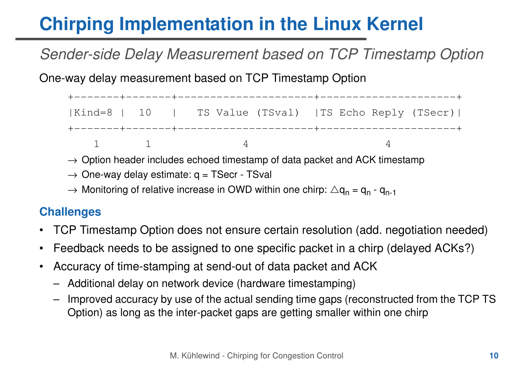## Sender-side Delay Measurement based on TCP Timestamp Option

One-way delay measurement based on TCP Timestamp Option

+-------+-------+---------------------+---------------------+ |Kind=8 | 10 | TS Value (TSval) |TS Echo Reply (TSecr)|+-------+-------+---------------------+---------------------+ $1$  1 4 4 4

- $\rightarrow$  Option header includes echoed timestamp of data packet and ACK timestamp
- $\rightarrow$  One-way delay estimate:  $q = T$ Secr TSval
- $\rightarrow$  Monitoring of relative increase in OWD within one chirp:  $\triangle \mathsf{q}_{\mathsf{n}}$  =  $\mathsf{q}_{\mathsf{n}}$   $\mathsf{q}_{\mathsf{n-1}}$

#### **Challenges**

- •TCP Timestamp Option does not ensure certain resolution (add. negotiation needed)
- •Feedback needs to be assigned to one specific packet in a chirp (delayed ACKs?)
- $\bullet$  Accuracy of time-stamping at send-out of data packet and ACK
	- Additional delay on network device (hardware timestamping)
	- – Improved accuracy by use of the actual sending time gaps (reconstructed from the TCP TS Option) as long as the inter-packet gaps are getting smaller within one chirp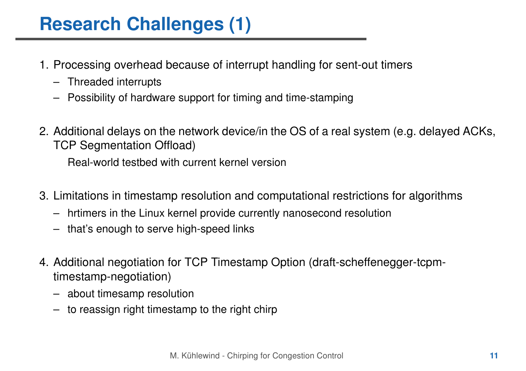- 1. Processing overhead because of interrupt handling for sent-out timers
	- Threaded interrupts
	- Possibility of hardware support for timing and time-stamping
- 2. Additional delays on the network device/in the OS of a real system (e.g. delayed ACKs, TCP Segmentation Offload)

Real-world testbed with current kernel version

- 3. Limitations in timestamp resolution and computational restrictions for algorithms
	- –hrtimers in the Linux kernel provide currently nanosecond resolution
	- that's enough to serve high-speed links
- 4. Additional negotiation for TCP Timestamp Option (draft-scheffenegger-tcpmtimestamp-negotiation)
	- about timesamp resolution
	- –to reassign right timestamp to the right chirp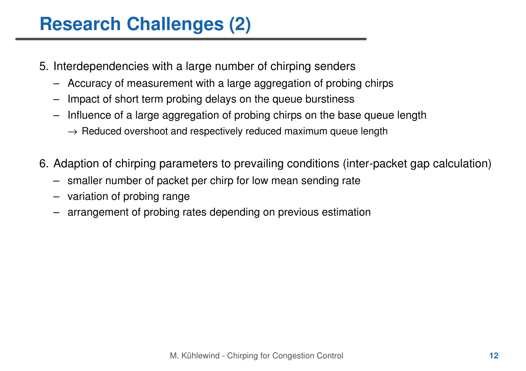- 5. Interdependencies with a large number of chirping senders
	- Accuracy of measurement with a large aggregation of probing chirps
	- –Impact of short term probing delays on the queue burstiness
	- – Influence of a large aggregation of probing chirps on the base queue length
		- $\rightarrow$  Reduced overshoot and respectively reduced maximum queue length
- 6. Adaption of chirping parameters to prevailing conditions (inter-packet gap calculation)
	- –smaller number of packet per chirp for low mean sending rate
	- –variation of probing range
	- –arrangement of probing rates depending on previous estimation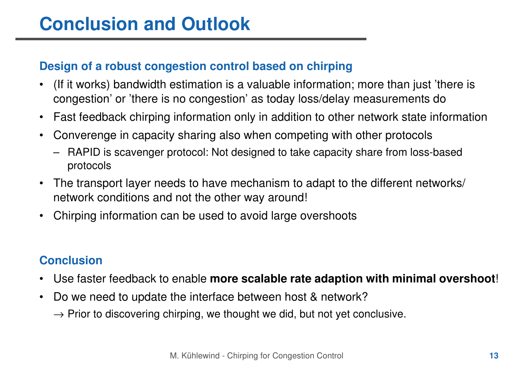#### **Design of a robust congestion control based on chirping**

- • (If it works) bandwidth estimation is a valuable information; more than just 'there is congestion' or 'there is no congestion' as today loss/delay measurements do
- •Fast feedback chirping information only in addition to other network state information
- • Converenge in capacity sharing also when competing with other protocols
	- RAPID is scavenger protocol: Not designed to take capacity share from loss-based protocols
- $\bullet$  The transport layer needs to have mechanism to adapt to the different networks/ network conditions and not the other way around!
- •Chirping information can be used to avoid large overshoots

#### **Conclusion**

- •Use faster feedback to enable **more scalable rate adaption with minimal overshoot**!
- • Do we need to update the interface between host & network?
	- $\rightarrow$  Prior to discovering chirping, we thought we did, but not yet conclusive.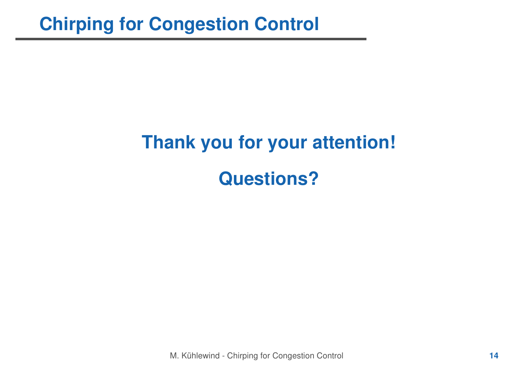# **Thank you for your attention!Questions?**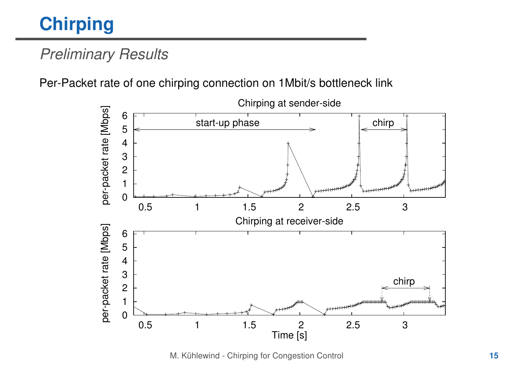# **Chirping**

## Preliminary Results

Per-Packet rate of one chirping connection on 1Mbit/s bottleneck link



M. Kühlewind - Chirping for Congestion Control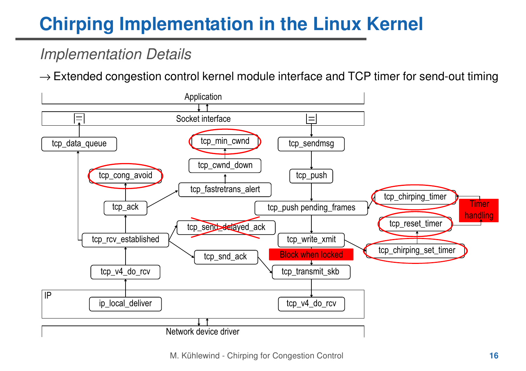## Implementation Details

 $\rightarrow$  Extended congestion control kernel module interface and TCP timer for send-out timing